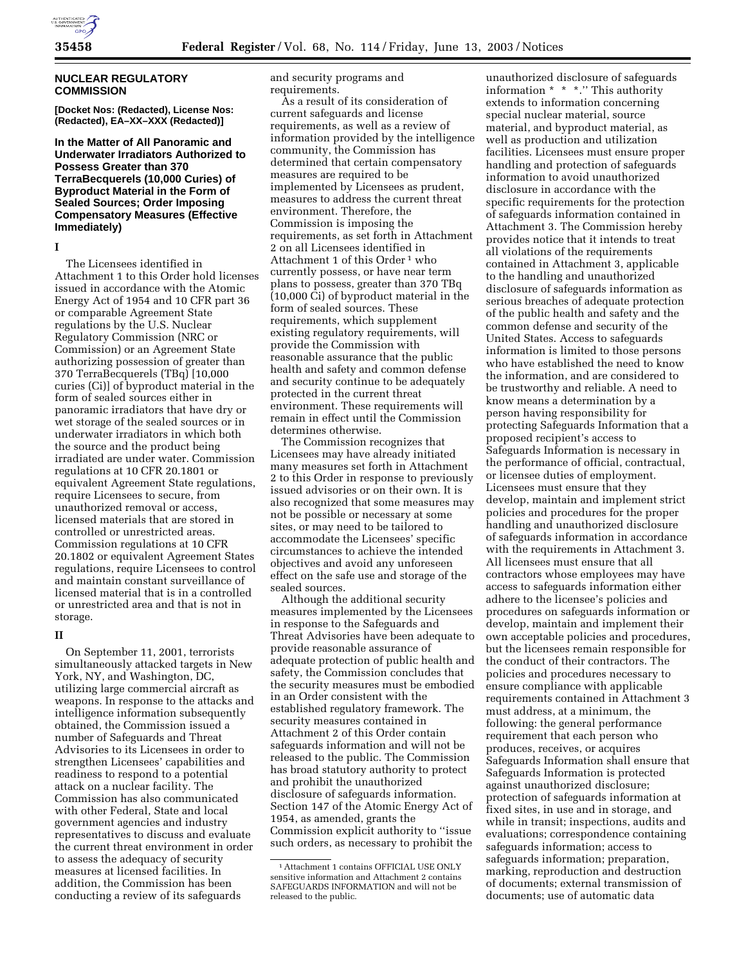

## **NUCLEAR REGULATORY COMMISSION**

**[Docket Nos: (Redacted), License Nos: (Redacted), EA–XX–XXX (Redacted)]** 

**In the Matter of All Panoramic and Underwater Irradiators Authorized to Possess Greater than 370 TerraBecquerels (10,000 Curies) of Byproduct Material in the Form of Sealed Sources; Order Imposing Compensatory Measures (Effective Immediately)** 

**I** 

The Licensees identified in Attachment 1 to this Order hold licenses issued in accordance with the Atomic Energy Act of 1954 and 10 CFR part 36 or comparable Agreement State regulations by the U.S. Nuclear Regulatory Commission (NRC or Commission) or an Agreement State authorizing possession of greater than 370 TerraBecquerels (TBq) [10,000 curies (Ci)] of byproduct material in the form of sealed sources either in panoramic irradiators that have dry or wet storage of the sealed sources or in underwater irradiators in which both the source and the product being irradiated are under water. Commission regulations at 10 CFR 20.1801 or equivalent Agreement State regulations, require Licensees to secure, from unauthorized removal or access, licensed materials that are stored in controlled or unrestricted areas. Commission regulations at 10 CFR 20.1802 or equivalent Agreement States regulations, require Licensees to control and maintain constant surveillance of licensed material that is in a controlled or unrestricted area and that is not in storage.

### **II**

On September 11, 2001, terrorists simultaneously attacked targets in New York, NY, and Washington, DC, utilizing large commercial aircraft as weapons. In response to the attacks and intelligence information subsequently obtained, the Commission issued a number of Safeguards and Threat Advisories to its Licensees in order to strengthen Licensees' capabilities and readiness to respond to a potential attack on a nuclear facility. The Commission has also communicated with other Federal, State and local government agencies and industry representatives to discuss and evaluate the current threat environment in order to assess the adequacy of security measures at licensed facilities. In addition, the Commission has been conducting a review of its safeguards

and security programs and requirements.

As a result of its consideration of current safeguards and license requirements, as well as a review of information provided by the intelligence community, the Commission has determined that certain compensatory measures are required to be implemented by Licensees as prudent, measures to address the current threat environment. Therefore, the Commission is imposing the requirements, as set forth in Attachment 2 on all Licensees identified in Attachment 1 of this Order<sup>1</sup> who currently possess, or have near term plans to possess, greater than 370 TBq (10,000 Ci) of byproduct material in the form of sealed sources. These requirements, which supplement existing regulatory requirements, will provide the Commission with reasonable assurance that the public health and safety and common defense and security continue to be adequately protected in the current threat environment. These requirements will remain in effect until the Commission determines otherwise.

The Commission recognizes that Licensees may have already initiated many measures set forth in Attachment 2 to this Order in response to previously issued advisories or on their own. It is also recognized that some measures may not be possible or necessary at some sites, or may need to be tailored to accommodate the Licensees' specific circumstances to achieve the intended objectives and avoid any unforeseen effect on the safe use and storage of the sealed sources.

Although the additional security measures implemented by the Licensees in response to the Safeguards and Threat Advisories have been adequate to provide reasonable assurance of adequate protection of public health and safety, the Commission concludes that the security measures must be embodied in an Order consistent with the established regulatory framework. The security measures contained in Attachment 2 of this Order contain safeguards information and will not be released to the public. The Commission has broad statutory authority to protect and prohibit the unauthorized disclosure of safeguards information. Section 147 of the Atomic Energy Act of 1954, as amended, grants the Commission explicit authority to ''issue such orders, as necessary to prohibit the

unauthorized disclosure of safeguards information \* \* \*.'' This authority extends to information concerning special nuclear material, source material, and byproduct material, as well as production and utilization facilities. Licensees must ensure proper handling and protection of safeguards information to avoid unauthorized disclosure in accordance with the specific requirements for the protection of safeguards information contained in Attachment 3. The Commission hereby provides notice that it intends to treat all violations of the requirements contained in Attachment 3, applicable to the handling and unauthorized disclosure of safeguards information as serious breaches of adequate protection of the public health and safety and the common defense and security of the United States. Access to safeguards information is limited to those persons who have established the need to know the information, and are considered to be trustworthy and reliable. A need to know means a determination by a person having responsibility for protecting Safeguards Information that a proposed recipient's access to Safeguards Information is necessary in the performance of official, contractual, or licensee duties of employment. Licensees must ensure that they develop, maintain and implement strict policies and procedures for the proper handling and unauthorized disclosure of safeguards information in accordance with the requirements in Attachment 3. All licensees must ensure that all contractors whose employees may have access to safeguards information either adhere to the licensee's policies and procedures on safeguards information or develop, maintain and implement their own acceptable policies and procedures, but the licensees remain responsible for the conduct of their contractors. The policies and procedures necessary to ensure compliance with applicable requirements contained in Attachment 3 must address, at a minimum, the following: the general performance requirement that each person who produces, receives, or acquires Safeguards Information shall ensure that Safeguards Information is protected against unauthorized disclosure; protection of safeguards information at fixed sites, in use and in storage, and while in transit; inspections, audits and evaluations; correspondence containing safeguards information; access to safeguards information; preparation, marking, reproduction and destruction of documents; external transmission of documents; use of automatic data

<sup>1</sup>Attachment 1 contains OFFICIAL USE ONLY sensitive information and Attachment 2 contains SAFEGUARDS INFORMATION and will not be released to the public.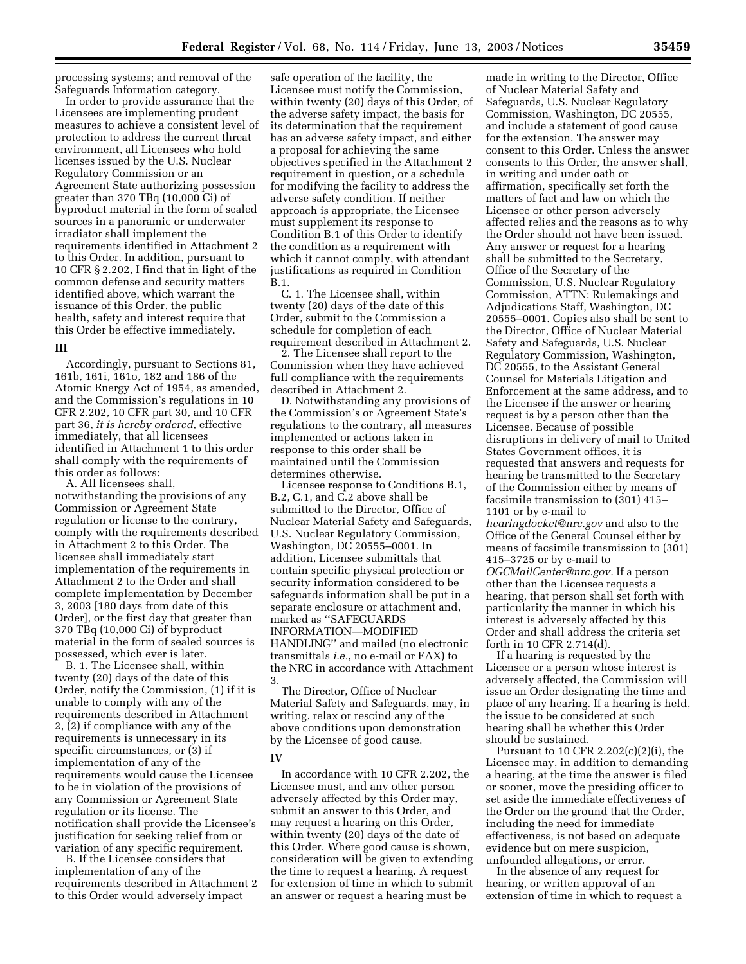processing systems; and removal of the Safeguards Information category.

In order to provide assurance that the Licensees are implementing prudent measures to achieve a consistent level of protection to address the current threat environment, all Licensees who hold licenses issued by the U.S. Nuclear Regulatory Commission or an Agreement State authorizing possession greater than 370 TBq (10,000 Ci) of byproduct material in the form of sealed sources in a panoramic or underwater irradiator shall implement the requirements identified in Attachment 2 to this Order. In addition, pursuant to 10 CFR § 2.202, I find that in light of the common defense and security matters identified above, which warrant the issuance of this Order, the public health, safety and interest require that this Order be effective immediately.

### **III**

Accordingly, pursuant to Sections 81, 161b, 161i, 161o, 182 and 186 of the Atomic Energy Act of 1954, as amended, and the Commission's regulations in 10 CFR 2.202, 10 CFR part 30, and 10 CFR part 36, *it is hereby ordered,* effective immediately, that all licensees identified in Attachment 1 to this order shall comply with the requirements of this order as follows:

A. All licensees shall, notwithstanding the provisions of any Commission or Agreement State regulation or license to the contrary, comply with the requirements described in Attachment 2 to this Order. The licensee shall immediately start implementation of the requirements in Attachment 2 to the Order and shall complete implementation by December 3, 2003 [180 days from date of this Order], or the first day that greater than 370 TBq (10,000 Ci) of byproduct material in the form of sealed sources is possessed, which ever is later.

B. 1. The Licensee shall, within twenty (20) days of the date of this Order, notify the Commission, (1) if it is unable to comply with any of the requirements described in Attachment 2, (2) if compliance with any of the requirements is unnecessary in its specific circumstances, or (3) if implementation of any of the requirements would cause the Licensee to be in violation of the provisions of any Commission or Agreement State regulation or its license. The notification shall provide the Licensee's justification for seeking relief from or variation of any specific requirement.

B. If the Licensee considers that implementation of any of the requirements described in Attachment 2 to this Order would adversely impact

safe operation of the facility, the Licensee must notify the Commission, within twenty (20) days of this Order, of the adverse safety impact, the basis for its determination that the requirement has an adverse safety impact, and either a proposal for achieving the same objectives specified in the Attachment 2 requirement in question, or a schedule for modifying the facility to address the adverse safety condition. If neither approach is appropriate, the Licensee must supplement its response to Condition B.1 of this Order to identify the condition as a requirement with which it cannot comply, with attendant justifications as required in Condition B.1.

C. 1. The Licensee shall, within twenty (20) days of the date of this Order, submit to the Commission a schedule for completion of each requirement described in Attachment 2.

2. The Licensee shall report to the Commission when they have achieved full compliance with the requirements described in Attachment 2.

D. Notwithstanding any provisions of the Commission's or Agreement State's regulations to the contrary, all measures implemented or actions taken in response to this order shall be maintained until the Commission determines otherwise.

Licensee response to Conditions B.1, B.2, C.1, and C.2 above shall be submitted to the Director, Office of Nuclear Material Safety and Safeguards, U.S. Nuclear Regulatory Commission, Washington, DC 20555–0001. In addition, Licensee submittals that contain specific physical protection or security information considered to be safeguards information shall be put in a separate enclosure or attachment and, marked as ''SAFEGUARDS INFORMATION—MODIFIED HANDLING'' and mailed (no electronic transmittals *i.e.*, no e-mail or FAX) to the NRC in accordance with Attachment 3.

The Director, Office of Nuclear Material Safety and Safeguards, may, in writing, relax or rescind any of the above conditions upon demonstration by the Licensee of good cause.

### **IV**

In accordance with 10 CFR 2.202, the Licensee must, and any other person adversely affected by this Order may, submit an answer to this Order, and may request a hearing on this Order, within twenty (20) days of the date of this Order. Where good cause is shown, consideration will be given to extending the time to request a hearing. A request for extension of time in which to submit an answer or request a hearing must be

made in writing to the Director, Office of Nuclear Material Safety and Safeguards, U.S. Nuclear Regulatory Commission, Washington, DC 20555, and include a statement of good cause for the extension. The answer may consent to this Order. Unless the answer consents to this Order, the answer shall, in writing and under oath or affirmation, specifically set forth the matters of fact and law on which the Licensee or other person adversely affected relies and the reasons as to why the Order should not have been issued. Any answer or request for a hearing shall be submitted to the Secretary, Office of the Secretary of the Commission, U.S. Nuclear Regulatory Commission, ATTN: Rulemakings and Adjudications Staff, Washington, DC 20555–0001. Copies also shall be sent to the Director, Office of Nuclear Material Safety and Safeguards, U.S. Nuclear Regulatory Commission, Washington, DC 20555, to the Assistant General Counsel for Materials Litigation and Enforcement at the same address, and to the Licensee if the answer or hearing request is by a person other than the Licensee. Because of possible disruptions in delivery of mail to United States Government offices, it is requested that answers and requests for hearing be transmitted to the Secretary of the Commission either by means of facsimile transmission to (301) 415– 1101 or by e-mail to *hearingdocket@nrc.gov* and also to the Office of the General Counsel either by means of facsimile transmission to (301) 415–3725 or by e-mail to *OGCMailCenter@nrc.gov.* If a person other than the Licensee requests a hearing, that person shall set forth with particularity the manner in which his interest is adversely affected by this Order and shall address the criteria set forth in 10 CFR 2.714(d).

If a hearing is requested by the Licensee or a person whose interest is adversely affected, the Commission will issue an Order designating the time and place of any hearing. If a hearing is held, the issue to be considered at such hearing shall be whether this Order should be sustained.

Pursuant to 10 CFR 2.202(c)(2)(i), the Licensee may, in addition to demanding a hearing, at the time the answer is filed or sooner, move the presiding officer to set aside the immediate effectiveness of the Order on the ground that the Order, including the need for immediate effectiveness, is not based on adequate evidence but on mere suspicion, unfounded allegations, or error.

In the absence of any request for hearing, or written approval of an extension of time in which to request a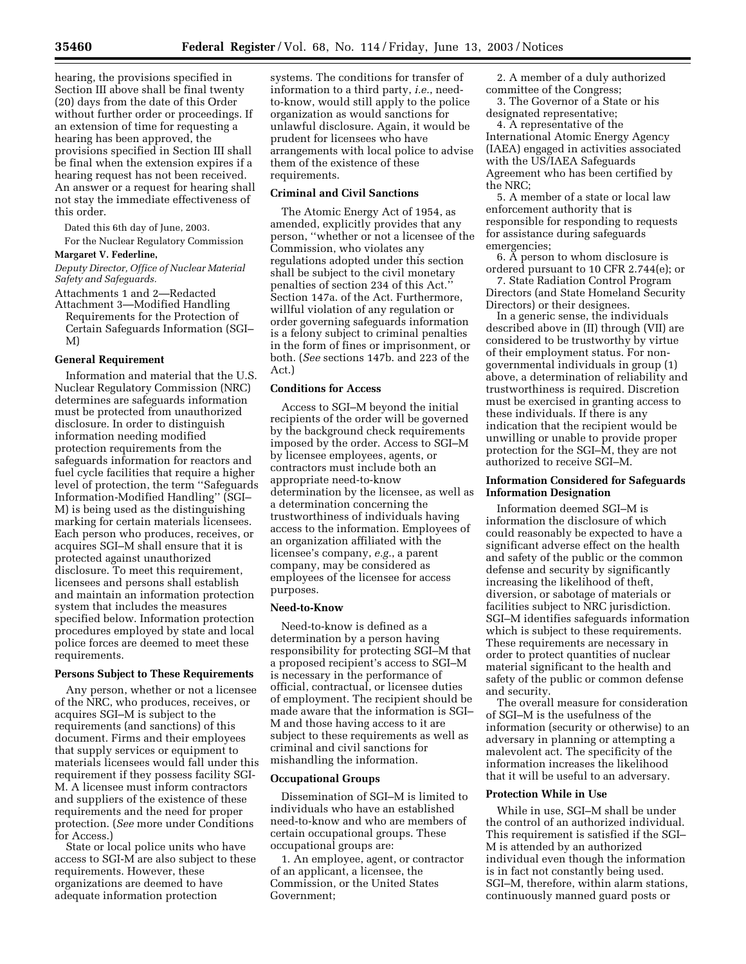hearing, the provisions specified in Section III above shall be final twenty (20) days from the date of this Order without further order or proceedings. If an extension of time for requesting a hearing has been approved, the provisions specified in Section III shall be final when the extension expires if a hearing request has not been received. An answer or a request for hearing shall not stay the immediate effectiveness of this order.

Dated this 6th day of June, 2003.

For the Nuclear Regulatory Commission **Margaret V. Federline,** 

*Deputy Director, Office of Nuclear Material Safety and Safeguards.*

Attachments 1 and 2—Redacted

Attachment 3—Modified Handling Requirements for the Protection of Certain Safeguards Information (SGI– M)

#### **General Requirement**

Information and material that the U.S. Nuclear Regulatory Commission (NRC) determines are safeguards information must be protected from unauthorized disclosure. In order to distinguish information needing modified protection requirements from the safeguards information for reactors and fuel cycle facilities that require a higher level of protection, the term ''Safeguards Information-Modified Handling'' (SGI– M) is being used as the distinguishing marking for certain materials licensees. Each person who produces, receives, or acquires SGI–M shall ensure that it is protected against unauthorized disclosure. To meet this requirement, licensees and persons shall establish and maintain an information protection system that includes the measures specified below. Information protection procedures employed by state and local police forces are deemed to meet these requirements.

#### **Persons Subject to These Requirements**

Any person, whether or not a licensee of the NRC, who produces, receives, or acquires SGI–M is subject to the requirements (and sanctions) of this document. Firms and their employees that supply services or equipment to materials licensees would fall under this requirement if they possess facility SGI-M. A licensee must inform contractors and suppliers of the existence of these requirements and the need for proper protection. (*See* more under Conditions for Access.)

State or local police units who have access to SGI-M are also subject to these requirements. However, these organizations are deemed to have adequate information protection

systems. The conditions for transfer of information to a third party, *i.e.*, needto-know, would still apply to the police organization as would sanctions for unlawful disclosure. Again, it would be prudent for licensees who have arrangements with local police to advise them of the existence of these requirements.

# **Criminal and Civil Sanctions**

The Atomic Energy Act of 1954, as amended, explicitly provides that any person, ''whether or not a licensee of the Commission, who violates any regulations adopted under this section shall be subject to the civil monetary penalties of section 234 of this Act.'' Section 147a. of the Act. Furthermore, willful violation of any regulation or order governing safeguards information is a felony subject to criminal penalties in the form of fines or imprisonment, or both. (*See* sections 147b. and 223 of the Act.)

### **Conditions for Access**

Access to SGI–M beyond the initial recipients of the order will be governed by the background check requirements imposed by the order. Access to SGI–M by licensee employees, agents, or contractors must include both an appropriate need-to-know determination by the licensee, as well as a determination concerning the trustworthiness of individuals having access to the information. Employees of an organization affiliated with the licensee's company, *e.g.*, a parent company, may be considered as employees of the licensee for access purposes.

## **Need-to-Know**

Need-to-know is defined as a determination by a person having responsibility for protecting SGI–M that a proposed recipient's access to SGI–M is necessary in the performance of official, contractual, or licensee duties of employment. The recipient should be made aware that the information is SGI– M and those having access to it are subject to these requirements as well as criminal and civil sanctions for mishandling the information.

#### **Occupational Groups**

Dissemination of SGI–M is limited to individuals who have an established need-to-know and who are members of certain occupational groups. These occupational groups are:

1. An employee, agent, or contractor of an applicant, a licensee, the Commission, or the United States Government;

2. A member of a duly authorized committee of the Congress;

3. The Governor of a State or his designated representative;

4. A representative of the International Atomic Energy Agency (IAEA) engaged in activities associated with the US/IAEA Safeguards Agreement who has been certified by the NRC;

5. A member of a state or local law enforcement authority that is responsible for responding to requests for assistance during safeguards emergencies;

6. A person to whom disclosure is ordered pursuant to 10 CFR 2.744(e); or

7. State Radiation Control Program Directors (and State Homeland Security Directors) or their designees.

In a generic sense, the individuals described above in (II) through (VII) are considered to be trustworthy by virtue of their employment status. For nongovernmental individuals in group (1) above, a determination of reliability and trustworthiness is required. Discretion must be exercised in granting access to these individuals. If there is any indication that the recipient would be unwilling or unable to provide proper protection for the SGI–M, they are not authorized to receive SGI–M.

## **Information Considered for Safeguards Information Designation**

Information deemed SGI–M is information the disclosure of which could reasonably be expected to have a significant adverse effect on the health and safety of the public or the common defense and security by significantly increasing the likelihood of theft, diversion, or sabotage of materials or facilities subject to NRC jurisdiction. SGI–M identifies safeguards information which is subject to these requirements. These requirements are necessary in order to protect quantities of nuclear material significant to the health and safety of the public or common defense and security.

The overall measure for consideration of SGI–M is the usefulness of the information (security or otherwise) to an adversary in planning or attempting a malevolent act. The specificity of the information increases the likelihood that it will be useful to an adversary.

#### **Protection While in Use**

While in use, SGI–M shall be under the control of an authorized individual. This requirement is satisfied if the SGI– M is attended by an authorized individual even though the information is in fact not constantly being used. SGI–M, therefore, within alarm stations, continuously manned guard posts or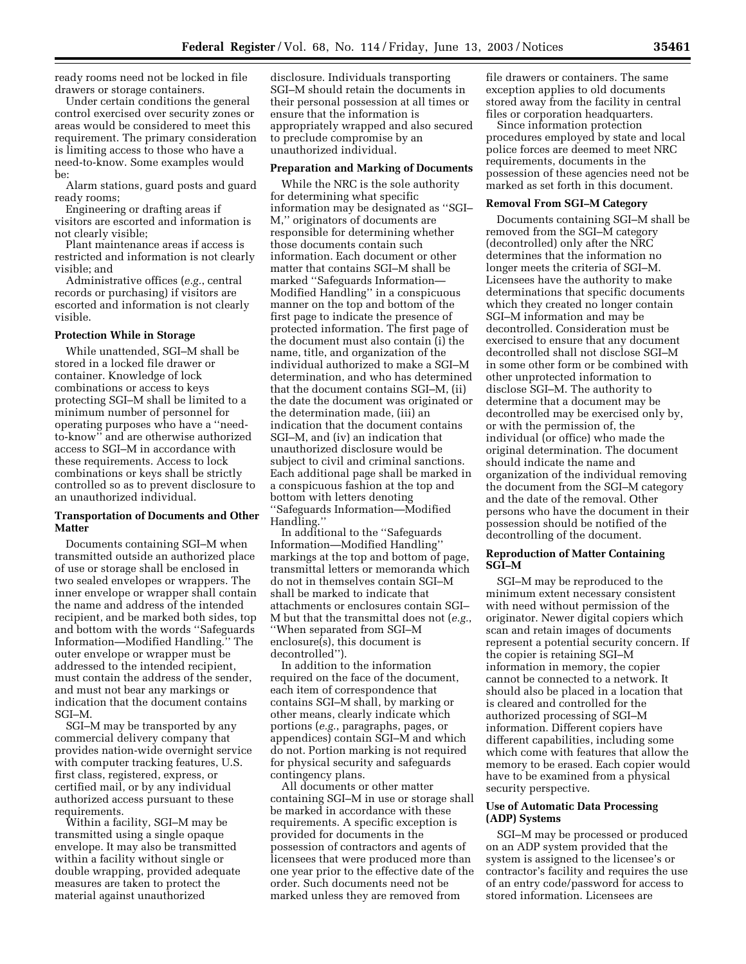ready rooms need not be locked in file drawers or storage containers.

Under certain conditions the general control exercised over security zones or areas would be considered to meet this requirement. The primary consideration is limiting access to those who have a need-to-know. Some examples would be:

Alarm stations, guard posts and guard ready rooms;

Engineering or drafting areas if visitors are escorted and information is not clearly visible;

Plant maintenance areas if access is restricted and information is not clearly visible; and

Administrative offices (*e.g.*, central records or purchasing) if visitors are escorted and information is not clearly visible.

### **Protection While in Storage**

While unattended, SGI–M shall be stored in a locked file drawer or container. Knowledge of lock combinations or access to keys protecting SGI–M shall be limited to a minimum number of personnel for operating purposes who have a ''needto-know'' and are otherwise authorized access to SGI–M in accordance with these requirements. Access to lock combinations or keys shall be strictly controlled so as to prevent disclosure to an unauthorized individual.

### **Transportation of Documents and Other Matter**

Documents containing SGI–M when transmitted outside an authorized place of use or storage shall be enclosed in two sealed envelopes or wrappers. The inner envelope or wrapper shall contain the name and address of the intended recipient, and be marked both sides, top and bottom with the words ''Safeguards Information—Modified Handling.'' The outer envelope or wrapper must be addressed to the intended recipient, must contain the address of the sender, and must not bear any markings or indication that the document contains SGI–M.

SGI–M may be transported by any commercial delivery company that provides nation-wide overnight service with computer tracking features, U.S. first class, registered, express, or certified mail, or by any individual authorized access pursuant to these requirements.

Within a facility, SGI–M may be transmitted using a single opaque envelope. It may also be transmitted within a facility without single or double wrapping, provided adequate measures are taken to protect the material against unauthorized

disclosure. Individuals transporting SGI–M should retain the documents in their personal possession at all times or ensure that the information is appropriately wrapped and also secured to preclude compromise by an unauthorized individual.

### **Preparation and Marking of Documents**

While the NRC is the sole authority for determining what specific information may be designated as ''SGI– M,'' originators of documents are responsible for determining whether those documents contain such information. Each document or other matter that contains SGI–M shall be marked ''Safeguards Information— Modified Handling'' in a conspicuous manner on the top and bottom of the first page to indicate the presence of protected information. The first page of the document must also contain (i) the name, title, and organization of the individual authorized to make a SGI–M determination, and who has determined that the document contains SGI–M, (ii) the date the document was originated or the determination made, (iii) an indication that the document contains SGI–M, and (iv) an indication that unauthorized disclosure would be subject to civil and criminal sanctions. Each additional page shall be marked in a conspicuous fashion at the top and bottom with letters denoting ''Safeguards Information—Modified Handling.

In additional to the ''Safeguards Information—Modified Handling'' markings at the top and bottom of page, transmittal letters or memoranda which do not in themselves contain SGI–M shall be marked to indicate that attachments or enclosures contain SGI– M but that the transmittal does not (*e.g.*, ''When separated from SGI–M enclosure(s), this document is decontrolled'').

In addition to the information required on the face of the document, each item of correspondence that contains SGI–M shall, by marking or other means, clearly indicate which portions (*e.g.*, paragraphs, pages, or appendices) contain SGI–M and which do not. Portion marking is not required for physical security and safeguards contingency plans.

All documents or other matter containing SGI–M in use or storage shall be marked in accordance with these requirements. A specific exception is provided for documents in the possession of contractors and agents of licensees that were produced more than one year prior to the effective date of the order. Such documents need not be marked unless they are removed from

file drawers or containers. The same exception applies to old documents stored away from the facility in central files or corporation headquarters.

Since information protection procedures employed by state and local police forces are deemed to meet NRC requirements, documents in the possession of these agencies need not be marked as set forth in this document.

#### **Removal From SGI–M Category**

Documents containing SGI–M shall be removed from the SGI–M category (decontrolled) only after the NRC determines that the information no longer meets the criteria of SGI–M. Licensees have the authority to make determinations that specific documents which they created no longer contain SGI–M information and may be decontrolled. Consideration must be exercised to ensure that any document decontrolled shall not disclose SGI–M in some other form or be combined with other unprotected information to disclose SGI–M. The authority to determine that a document may be decontrolled may be exercised only by, or with the permission of, the individual (or office) who made the original determination. The document should indicate the name and organization of the individual removing the document from the SGI–M category and the date of the removal. Other persons who have the document in their possession should be notified of the decontrolling of the document.

## **Reproduction of Matter Containing SGI–M**

SGI–M may be reproduced to the minimum extent necessary consistent with need without permission of the originator. Newer digital copiers which scan and retain images of documents represent a potential security concern. If the copier is retaining SGI–M information in memory, the copier cannot be connected to a network. It should also be placed in a location that is cleared and controlled for the authorized processing of SGI–M information. Different copiers have different capabilities, including some which come with features that allow the memory to be erased. Each copier would have to be examined from a physical security perspective.

# **Use of Automatic Data Processing (ADP) Systems**

SGI–M may be processed or produced on an ADP system provided that the system is assigned to the licensee's or contractor's facility and requires the use of an entry code/password for access to stored information. Licensees are